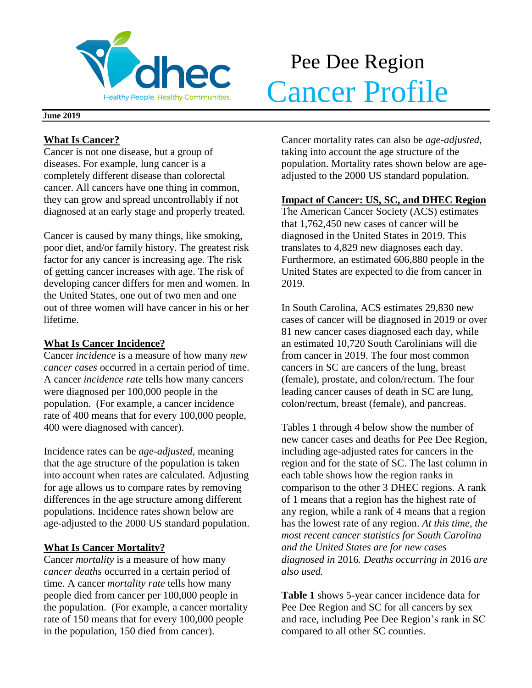

# Pee Dee Region Realthy People. Healthy Communities. Cancer Profile

#### **June 2019**

### **What Is Cancer?**

Cancer is not one disease, but a group of diseases. For example, lung cancer is a completely different disease than colorectal cancer. All cancers have one thing in common, they can grow and spread uncontrollably if not diagnosed at an early stage and properly treated.

Cancer is caused by many things, like smoking, poor diet, and/or family history. The greatest risk factor for any cancer is increasing age. The risk of getting cancer increases with age. The risk of developing cancer differs for men and women. In the United States, one out of two men and one out of three women will have cancer in his or her lifetime.

#### **What Is Cancer Incidence?**

Cancer *incidence* is a measure of how many *new cancer cases* occurred in a certain period of time. A cancer *incidence rate* tells how many cancers were diagnosed per 100,000 people in the population. (For example, a cancer incidence rate of 400 means that for every 100,000 people, 400 were diagnosed with cancer).

Incidence rates can be *age-adjusted*, meaning that the age structure of the population is taken into account when rates are calculated. Adjusting for age allows us to compare rates by removing differences in the age structure among different populations. Incidence rates shown below are age-adjusted to the 2000 US standard population.

## **What Is Cancer Mortality?**

Cancer *mortality* is a measure of how many *cancer deaths* occurred in a certain period of time. A cancer *mortality rate* tells how many people died from cancer per 100,000 people in the population. (For example, a cancer mortality rate of 150 means that for every 100,000 people in the population, 150 died from cancer).

Cancer mortality rates can also be *age-adjusted*, taking into account the age structure of the population. Mortality rates shown below are ageadjusted to the 2000 US standard population.

#### **Impact of Cancer: US, SC, and DHEC Region**

The American Cancer Society (ACS) estimates that 1,762,450 new cases of cancer will be diagnosed in the United States in 2019. This translates to 4,829 new diagnoses each day. Furthermore, an estimated 606,880 people in the United States are expected to die from cancer in 2019.

In South Carolina, ACS estimates 29,830 new cases of cancer will be diagnosed in 2019 or over 81 new cancer cases diagnosed each day, while an estimated 10,720 South Carolinians will die from cancer in 2019. The four most common cancers in SC are cancers of the lung, breast (female), prostate, and colon/rectum. The four leading cancer causes of death in SC are lung, colon/rectum, breast (female), and pancreas.

Tables 1 through 4 below show the number of new cancer cases and deaths for Pee Dee Region, including age-adjusted rates for cancers in the region and for the state of SC. The last column in each table shows how the region ranks in comparison to the other 3 DHEC regions. A rank of 1 means that a region has the highest rate of any region, while a rank of 4 means that a region has the lowest rate of any region. *At this time, the most recent cancer statistics for South Carolina and the United States are for new cases diagnosed in* 2016*. Deaths occurring in* 2016 *are also used.*

**Table 1** shows 5-year cancer incidence data for Pee Dee Region and SC for all cancers by sex and race, including Pee Dee Region's rank in SC compared to all other SC counties.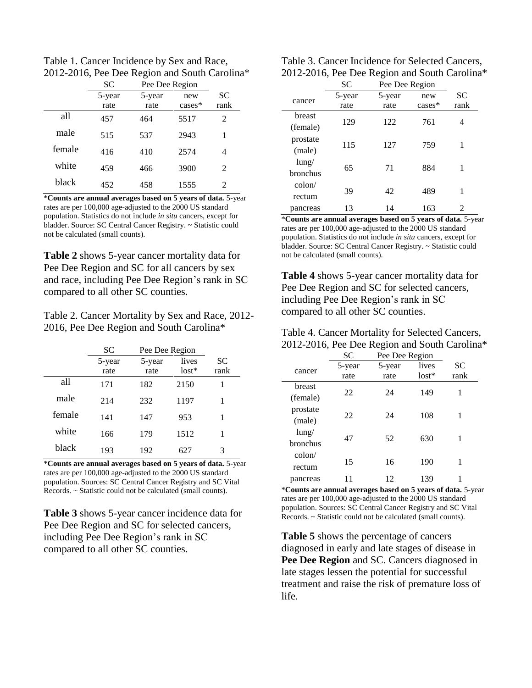Table 1. Cancer Incidence by Sex and Race, 2012-2016, Pee Dee Region and South Carolina\*

|        | <b>SC</b> | Pee Dee Region |           |                             |
|--------|-----------|----------------|-----------|-----------------------------|
|        | 5-year    | 5-year         | new       | <b>SC</b>                   |
|        | rate      | rate           | $cases^*$ | rank                        |
| all    | 457       | 464            | 5517      | 2                           |
| male   | 515       | 537            | 2943      | 1                           |
| female | 416       | 410            | 2574      | 4                           |
| white  | 459       | 466            | 3900      | 2                           |
| black  | 452       | 458            | 1555      | $\mathcal{D}_{\mathcal{L}}$ |

\***Counts are annual averages based on 5 years of data.** 5-year rates are per 100,000 age-adjusted to the 2000 US standard population. Statistics do not include *in situ* cancers, except for bladder. Source: SC Central Cancer Registry. ~ Statistic could not be calculated (small counts).

**Table 2** shows 5-year cancer mortality data for Pee Dee Region and SC for all cancers by sex and race, including Pee Dee Region's rank in SC compared to all other SC counties.

Table 2. Cancer Mortality by Sex and Race, 2012- 2016, Pee Dee Region and South Carolina\*

|        | SС             | Pee Dee Region |                  |                   |
|--------|----------------|----------------|------------------|-------------------|
|        | 5-year<br>rate | 5-year<br>rate | lives<br>$lost*$ | <b>SC</b><br>rank |
| all    | 171            | 182            | 2150             |                   |
| male   | 214            | 232            | 1197             | 1                 |
| female | 141            | 147            | 953              | 1                 |
| white  | 166            | 179            | 1512             |                   |
| black  | 193            | 192            | 627              | 3                 |

\***Counts are annual averages based on 5 years of data.** 5-year rates are per 100,000 age-adjusted to the 2000 US standard population. Sources: SC Central Cancer Registry and SC Vital Records. ~ Statistic could not be calculated (small counts).

**Table 3** shows 5-year cancer incidence data for Pee Dee Region and SC for selected cancers, including Pee Dee Region's rank in SC compared to all other SC counties.

| Table 3. Cancer Incidence for Selected Cancers, |  |
|-------------------------------------------------|--|
| 2012-2016, Pee Dee Region and South Carolina*   |  |

|                 | <b>SC</b> | Pee Dee Region |          |           |
|-----------------|-----------|----------------|----------|-----------|
| cancer          | 5-year    | 5-year         | new      | <b>SC</b> |
|                 | rate      | rate           | $cases*$ | rank      |
| breast          | 129       | 122            | 761      | 4         |
| (female)        |           |                |          |           |
| prostate        | 115       | 127            | 759      | 1         |
| (male)          |           |                |          |           |
| $l$ ung/        | 65        | 71             | 884      | 1         |
| bronchus        |           |                |          |           |
| $\text{colon}/$ |           |                |          |           |
| rectum          | 39        | 42             | 489      | 1         |
| pancreas        | 13        | 14             | 163      | 2         |

\***Counts are annual averages based on 5 years of data.** 5-year rates are per 100,000 age-adjusted to the 2000 US standard population. Statistics do not include *in situ* cancers, except for bladder. Source: SC Central Cancer Registry. ~ Statistic could not be calculated (small counts).

**Table 4** shows 5-year cancer mortality data for Pee Dee Region and SC for selected cancers, including Pee Dee Region's rank in SC compared to all other SC counties.

| Table 4. Cancer Mortality for Selected Cancers, |  |
|-------------------------------------------------|--|
| 2012-2016, Pee Dee Region and South Carolina*   |  |

|                 | SС     | Pee Dee Region |         |      |
|-----------------|--------|----------------|---------|------|
|                 | 5-year | 5-year         | lives   | SС   |
| cancer          | rate   | rate           | $lost*$ | rank |
| breast          |        |                |         |      |
| (female)        | 22     | 24             | 149     | 1    |
| prostate        |        |                |         |      |
| (male)          | 22     | 24             | 108     |      |
| $l$ ung/        |        |                |         |      |
| bronchus        | 47     | 52             | 630     | 1    |
| $\text{colon}/$ |        |                |         |      |
| rectum          | 15     | 16             | 190     |      |
| pancreas        |        | 12             | 139     |      |

\***Counts are annual averages based on 5 years of data.** 5-year rates are per 100,000 age-adjusted to the 2000 US standard population. Sources: SC Central Cancer Registry and SC Vital Records. ~ Statistic could not be calculated (small counts).

**Table 5** shows the percentage of cancers diagnosed in early and late stages of disease in **Pee Dee Region** and SC. Cancers diagnosed in late stages lessen the potential for successful treatment and raise the risk of premature loss of life.